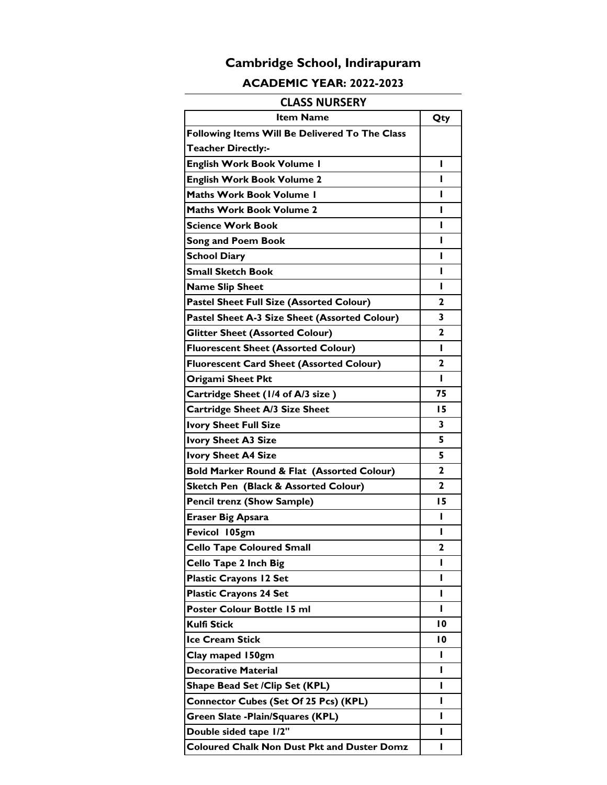### **ACADEMIC YEAR: 2022-2023**

### **CLASS NURSERY**

| <b>Item Name</b>                                   | Qty          |
|----------------------------------------------------|--------------|
| Following Items Will Be Delivered To The Class     |              |
| <b>Teacher Directly:-</b>                          |              |
| <b>English Work Book Volume I</b>                  | н            |
| <b>English Work Book Volume 2</b>                  | п            |
| Maths Work Book Volume 1                           | L            |
| Maths Work Book Volume 2                           | н            |
| <b>Science Work Book</b>                           | ı            |
| <b>Song and Poem Book</b>                          | н            |
| <b>School Diary</b>                                | ı            |
| Small Sketch Book                                  | н            |
| <b>Name Slip Sheet</b>                             | ı            |
| Pastel Sheet Full Size (Assorted Colour)           | 2            |
| Pastel Sheet A-3 Size Sheet (Assorted Colour)      | 3            |
| <b>Glitter Sheet (Assorted Colour)</b>             | $\mathbf{z}$ |
| <b>Fluorescent Sheet (Assorted Colour)</b>         | L            |
| <b>Fluorescent Card Sheet (Assorted Colour)</b>    | 2            |
| Origami Sheet Pkt                                  | п            |
| Cartridge Sheet (1/4 of A/3 size)                  | 75           |
| <b>Cartridge Sheet A/3 Size Sheet</b>              | 15           |
| <b>Ivory Sheet Full Size</b>                       | 3            |
| <b>Ivory Sheet A3 Size</b>                         | 5            |
| <b>Ivory Sheet A4 Size</b>                         | 5            |
| Bold Marker Round & Flat (Assorted Colour)         | $\mathbf{z}$ |
| <b>Sketch Pen (Black &amp; Assorted Colour)</b>    | $\mathbf{2}$ |
| <b>Pencil trenz (Show Sample)</b>                  | 15           |
| <b>Eraser Big Apsara</b>                           | ı            |
| Fevicol 105gm                                      | н            |
| <b>Cello Tape Coloured Small</b>                   | $\mathbf{z}$ |
| <b>Cello Tape 2 Inch Big</b>                       | ı            |
| <b>Plastic Crayons 12 Set</b>                      | ı            |
| <b>Plastic Crayons 24 Set</b>                      | ı            |
| Poster Colour Bottle 15 ml                         | ı            |
| Kulfi Stick                                        | 10           |
| <b>Ice Cream Stick</b>                             | 10           |
| Clay maped 150gm                                   | п            |
| <b>Decorative Material</b>                         | ı            |
| Shape Bead Set / Clip Set (KPL)                    | ı            |
| <b>Connector Cubes (Set Of 25 Pcs) (KPL)</b>       | ı            |
| Green Slate - Plain/Squares (KPL)                  | L            |
| Double sided tape 1/2"                             | ı            |
| <b>Coloured Chalk Non Dust Pkt and Duster Domz</b> | ı            |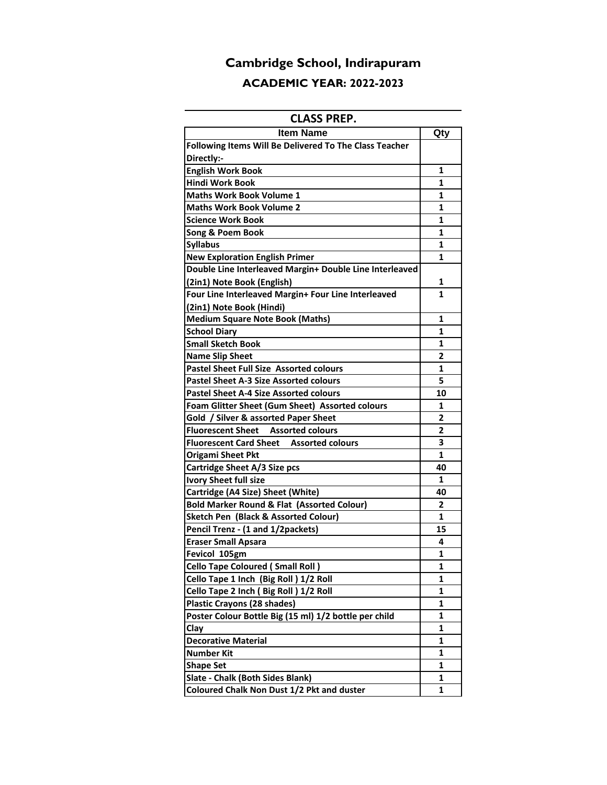# **Cambridge School, Indirapuram ACADEMIC YEAR: 2022-2023**

### **CLASS PREP.**

| <b>Item Name</b>                                        | Qty |
|---------------------------------------------------------|-----|
| Following Items Will Be Delivered To The Class Teacher  |     |
| Directly:-                                              |     |
| <b>English Work Book</b>                                | 1   |
| <b>Hindi Work Book</b>                                  | 1   |
| <b>Maths Work Book Volume 1</b>                         | 1   |
| Maths Work Book Volume 2                                | 1   |
| <b>Science Work Book</b>                                | 1   |
| Song & Poem Book                                        | 1   |
| <b>Syllabus</b>                                         | 1   |
| <b>New Exploration English Primer</b>                   | 1   |
| Double Line Interleaved Margin+ Double Line Interleaved |     |
| (2in1) Note Book (English)                              | 1   |
| Four Line Interleaved Margin+ Four Line Interleaved     | 1   |
| (2in1) Note Book (Hindi)                                |     |
| <b>Medium Square Note Book (Maths)</b>                  | 1   |
| <b>School Diary</b>                                     | 1   |
| <b>Small Sketch Book</b>                                | 1   |
| <b>Name Slip Sheet</b>                                  | 2   |
| <b>Pastel Sheet Full Size Assorted colours</b>          | 1   |
| Pastel Sheet A-3 Size Assorted colours                  | 5   |
| <b>Pastel Sheet A-4 Size Assorted colours</b>           | 10  |
| Foam Glitter Sheet (Gum Sheet) Assorted colours         | 1   |
| Gold / Silver & assorted Paper Sheet                    | 2   |
| Fluorescent Sheet Assorted colours                      | 2   |
| <b>Fluorescent Card Sheet Assorted colours</b>          | 3   |
| <b>Origami Sheet Pkt</b>                                | 1   |
| Cartridge Sheet A/3 Size pcs                            | 40  |
| <b>Ivory Sheet full size</b>                            | 1   |
| Cartridge (A4 Size) Sheet (White)                       | 40  |
| <b>Bold Marker Round &amp; Flat (Assorted Colour)</b>   | 2   |
| Sketch Pen (Black & Assorted Colour)                    | 1   |
| Pencil Trenz - (1 and 1/2packets)                       | 15  |
| <b>Eraser Small Apsara</b>                              | 4   |
| Fevicol 105gm                                           | 1   |
| <b>Cello Tape Coloured (Small Roll)</b>                 | 1   |
| Cello Tape 1 Inch (Big Roll) 1/2 Roll                   | 1   |
| Cello Tape 2 Inch (Big Roll) 1/2 Roll                   | 1   |
| <b>Plastic Crayons (28 shades)</b>                      | 1   |
| Poster Colour Bottle Big (15 ml) 1/2 bottle per child   | 1   |
| Clay                                                    | 1   |
| <b>Decorative Material</b>                              | 1   |
| Number Kit                                              | 1   |
| <b>Shape Set</b>                                        | 1   |
| Slate - Chalk (Both Sides Blank)                        | 1   |
| Coloured Chalk Non Dust 1/2 Pkt and duster              | 1   |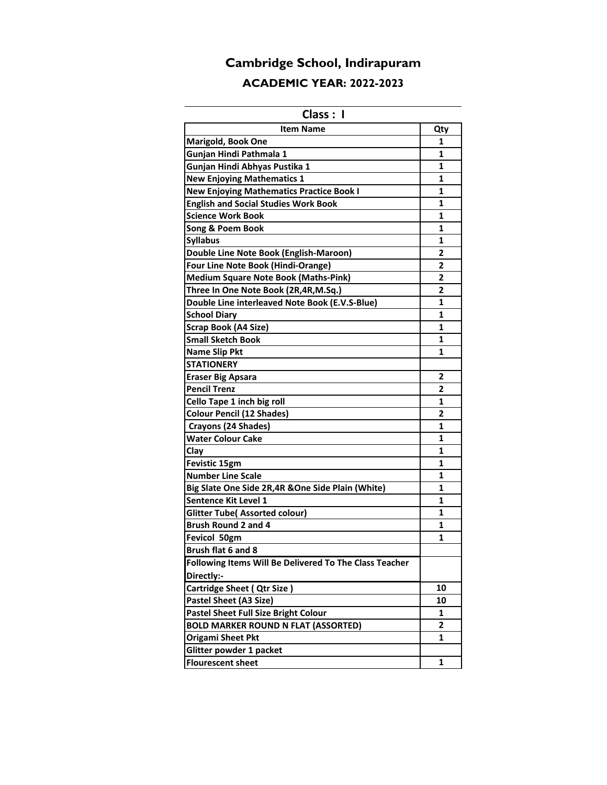# **Cambridge School, Indirapuram ACADEMIC YEAR: 2022-2023**

### **Class : I**

| <b>Item Name</b>                                       | Qty            |
|--------------------------------------------------------|----------------|
| <b>Marigold, Book One</b>                              | 1              |
| Gunjan Hindi Pathmala 1                                | 1              |
| Gunjan Hindi Abhyas Pustika 1                          | 1              |
| <b>New Enjoying Mathematics 1</b>                      | 1              |
| <b>New Enjoying Mathematics Practice Book I</b>        | 1              |
| <b>English and Social Studies Work Book</b>            | 1              |
| <b>Science Work Book</b>                               | 1              |
| Song & Poem Book                                       | 1              |
| <b>Syllabus</b>                                        | 1              |
| Double Line Note Book (English-Maroon)                 | 2              |
| <b>Four Line Note Book (Hindi-Orange)</b>              | 2              |
| <b>Medium Square Note Book (Maths-Pink)</b>            | $\overline{2}$ |
| Three In One Note Book (2R,4R,M.Sq.)                   | 2              |
| Double Line interleaved Note Book (E.V.S-Blue)         | 1              |
| <b>School Diary</b>                                    | 1              |
| Scrap Book (A4 Size)                                   | 1              |
| <b>Small Sketch Book</b>                               | 1              |
| <b>Name Slip Pkt</b>                                   | 1              |
| <b>STATIONERY</b>                                      |                |
| <b>Eraser Big Apsara</b>                               | 2              |
| <b>Pencil Trenz</b>                                    | 2              |
| Cello Tape 1 inch big roll                             | 1              |
| <b>Colour Pencil (12 Shades)</b>                       | 2              |
| Crayons (24 Shades)                                    | 1              |
| <b>Water Colour Cake</b>                               | 1              |
| Clay                                                   | 1              |
| <b>Fevistic 15gm</b>                                   | 1              |
| <b>Number Line Scale</b>                               | 1              |
| Big Slate One Side 2R,4R & One Side Plain (White)      | 1              |
| Sentence Kit Level 1                                   | 1              |
| <b>Glitter Tube( Assorted colour)</b>                  | 1              |
| <b>Brush Round 2 and 4</b>                             | 1              |
| Fevicol 50gm                                           | 1              |
| Brush flat 6 and 8                                     |                |
| Following Items Will Be Delivered To The Class Teacher |                |
| Directly:-                                             |                |
| <b>Cartridge Sheet ( Qtr Size)</b>                     | 10             |
| <b>Pastel Sheet (A3 Size)</b>                          | 10             |
| Pastel Sheet Full Size Bright Colour                   | 1              |
| <b>BOLD MARKER ROUND N FLAT (ASSORTED)</b>             | $\overline{2}$ |
| <b>Origami Sheet Pkt</b>                               | 1              |
| Glitter powder 1 packet                                |                |
| <b>Flourescent sheet</b>                               | 1              |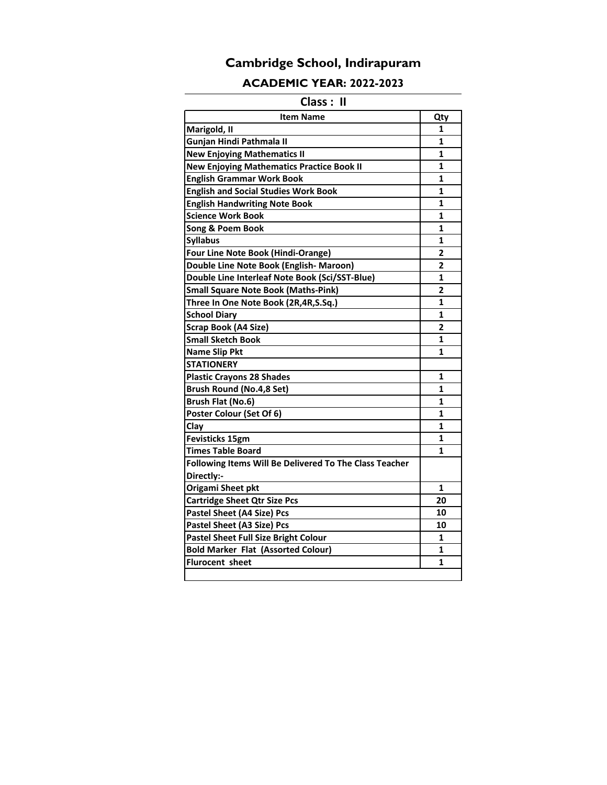### **ACADEMIC YEAR: 2022-2023**

### **Class : II**

| <b>Item Name</b>                                       | Qty            |
|--------------------------------------------------------|----------------|
| Marigold, II                                           | 1              |
| Gunjan Hindi Pathmala II                               | 1              |
| <b>New Enjoying Mathematics II</b>                     | 1              |
| <b>New Enjoying Mathematics Practice Book II</b>       | 1              |
| <b>English Grammar Work Book</b>                       | 1              |
| <b>English and Social Studies Work Book</b>            | 1              |
| <b>English Handwriting Note Book</b>                   | $\mathbf{1}$   |
| <b>Science Work Book</b>                               | 1              |
| Song & Poem Book                                       | $\mathbf{1}$   |
| <b>Syllabus</b>                                        | $\mathbf{1}$   |
| <b>Four Line Note Book (Hindi-Orange)</b>              | 2              |
| Double Line Note Book (English- Maroon)                | $\overline{2}$ |
| Double Line Interleaf Note Book (Sci/SST-Blue)         | $\mathbf{1}$   |
| <b>Small Square Note Book (Maths-Pink)</b>             | $\overline{2}$ |
| Three In One Note Book (2R,4R,S.Sq.)                   | 1              |
| <b>School Diary</b>                                    | 1              |
| Scrap Book (A4 Size)                                   | $\overline{2}$ |
| <b>Small Sketch Book</b>                               | 1              |
| <b>Name Slip Pkt</b>                                   | 1              |
| <b>STATIONERY</b>                                      |                |
| <b>Plastic Crayons 28 Shades</b>                       | 1              |
| <b>Brush Round (No.4,8 Set)</b>                        | 1              |
| Brush Flat (No.6)                                      | 1              |
| Poster Colour (Set Of 6)                               | 1              |
| Clay                                                   | 1              |
| <b>Fevisticks 15gm</b>                                 | 1              |
| <b>Times Table Board</b>                               | 1              |
| Following Items Will Be Delivered To The Class Teacher |                |
| Directly:-                                             |                |
| Origami Sheet pkt                                      | 1              |
| <b>Cartridge Sheet Qtr Size Pcs</b>                    | 20             |
| <b>Pastel Sheet (A4 Size) Pcs</b>                      | 10             |
| Pastel Sheet (A3 Size) Pcs                             | 10             |
| <b>Pastel Sheet Full Size Bright Colour</b>            | 1              |
| <b>Bold Marker Flat (Assorted Colour)</b>              | 1              |
| Flurocent sheet                                        | 1              |
|                                                        |                |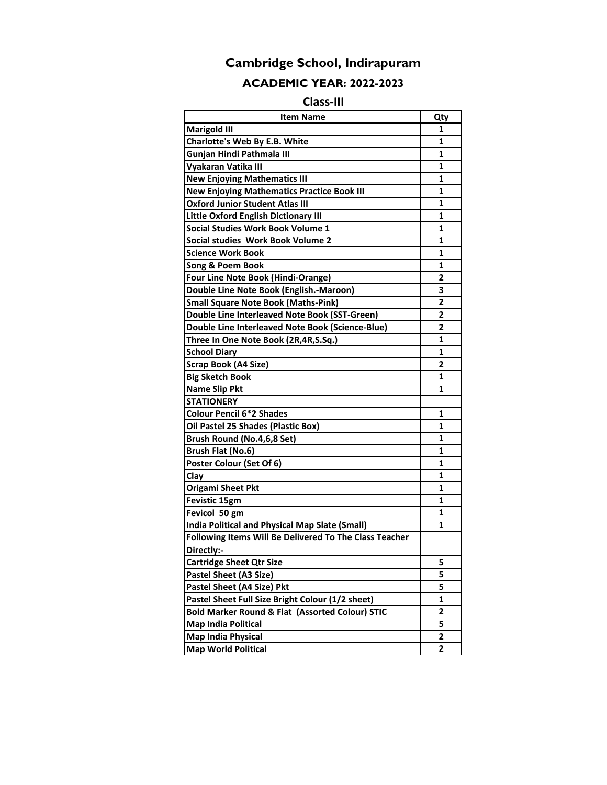### **ACADEMIC YEAR: 2022-2023**

### **Class-III**

| <b>Item Name</b>                                       | Qty            |
|--------------------------------------------------------|----------------|
| <b>Marigold III</b>                                    | 1              |
| Charlotte's Web By E.B. White                          | 1              |
| Gunjan Hindi Pathmala III                              | 1              |
| Vyakaran Vatika III                                    | 1              |
| <b>New Enjoying Mathematics III</b>                    | 1              |
| <b>New Enjoying Mathematics Practice Book III</b>      | 1              |
| <b>Oxford Junior Student Atlas III</b>                 | 1              |
| <b>Little Oxford English Dictionary III</b>            | 1              |
| <b>Social Studies Work Book Volume 1</b>               | 1              |
| Social studies Work Book Volume 2                      | 1              |
| Science Work Book                                      | 1              |
| Song & Poem Book                                       | 1              |
| <b>Four Line Note Book (Hindi-Orange)</b>              | 2              |
| Double Line Note Book (English.-Maroon)                | 3              |
| <b>Small Square Note Book (Maths-Pink)</b>             | 2              |
| Double Line Interleaved Note Book (SST-Green)          | 2              |
| Double Line Interleaved Note Book (Science-Blue)       | 2              |
| Three In One Note Book (2R,4R,S.Sq.)                   | 1              |
| <b>School Diary</b>                                    | 1              |
| <b>Scrap Book (A4 Size)</b>                            | 2              |
| <b>Big Sketch Book</b>                                 | 1              |
| <b>Name Slip Pkt</b>                                   | 1              |
| <b>STATIONERY</b>                                      |                |
| <b>Colour Pencil 6*2 Shades</b>                        | 1              |
| Oil Pastel 25 Shades (Plastic Box)                     | 1              |
| Brush Round (No.4,6,8 Set)                             | 1              |
| Brush Flat (No.6)                                      | 1              |
| Poster Colour (Set Of 6)                               | 1              |
| Clay                                                   | 1              |
| <b>Origami Sheet Pkt</b>                               | 1              |
| Fevistic 15gm                                          | 1              |
| Fevicol 50 gm                                          | 1              |
| <b>India Political and Physical Map Slate (Small)</b>  | 1              |
| Following Items Will Be Delivered To The Class Teacher |                |
| Directly:-                                             |                |
| <b>Cartridge Sheet Qtr Size</b>                        | 5              |
| Pastel Sheet (A3 Size)                                 | 5              |
| Pastel Sheet (A4 Size) Pkt                             | 5              |
| Pastel Sheet Full Size Bright Colour (1/2 sheet)       | 1              |
| Bold Marker Round & Flat (Assorted Colour) STIC        | 2              |
| <b>Map India Political</b>                             | 5              |
| <b>Map India Physical</b>                              | $\overline{2}$ |
| <b>Map World Political</b>                             | 2              |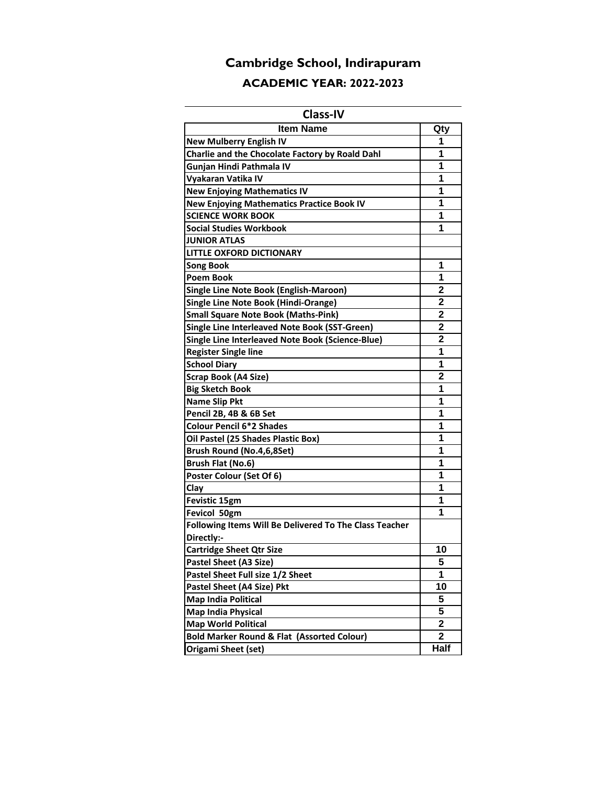## **Cambridge School, Indirapuram ACADEMIC YEAR: 2022-2023**

### **Class-IV**

| <b>Item Name</b>                                       | Qty                     |
|--------------------------------------------------------|-------------------------|
| <b>New Mulberry English IV</b>                         | 1                       |
| Charlie and the Chocolate Factory by Roald Dahl        | 1                       |
| Gunjan Hindi Pathmala IV                               | 1                       |
| Vyakaran Vatika IV                                     | 1                       |
| <b>New Enjoying Mathematics IV</b>                     | 1                       |
| <b>New Enjoying Mathematics Practice Book IV</b>       | 1                       |
| <b>SCIENCE WORK BOOK</b>                               | 1                       |
| <b>Social Studies Workbook</b>                         | 1                       |
| <b>JUNIOR ATLAS</b>                                    |                         |
| LITTLE OXFORD DICTIONARY                               |                         |
| Song Book                                              | 1                       |
| Poem Book                                              | 1                       |
| Single Line Note Book (English-Maroon)                 | $\overline{2}$          |
| <b>Single Line Note Book (Hindi-Orange)</b>            | $\mathbf{2}$            |
| <b>Small Square Note Book (Maths-Pink)</b>             | $\overline{2}$          |
| Single Line Interleaved Note Book (SST-Green)          | $\overline{\mathbf{2}}$ |
| Single Line Interleaved Note Book (Science-Blue)       | $\overline{2}$          |
| <b>Register Single line</b>                            | 1                       |
| <b>School Diary</b>                                    | 1                       |
| <b>Scrap Book (A4 Size)</b>                            | 2                       |
| <b>Big Sketch Book</b>                                 | 1                       |
| <b>Name Slip Pkt</b>                                   | 1                       |
| Pencil 2B, 4B & 6B Set                                 | 1                       |
| <b>Colour Pencil 6*2 Shades</b>                        | 1                       |
| Oil Pastel (25 Shades Plastic Box)                     | 1                       |
| Brush Round (No.4,6,8Set)                              | 1                       |
| Brush Flat (No.6)                                      | 1                       |
| Poster Colour (Set Of 6)                               | 1                       |
| Clay                                                   | 1                       |
| Fevistic 15gm                                          | 1                       |
| Fevicol 50gm                                           | 1                       |
| Following Items Will Be Delivered To The Class Teacher |                         |
| Directly:-                                             |                         |
| <b>Cartridge Sheet Qtr Size</b>                        | 10                      |
| <b>Pastel Sheet (A3 Size)</b>                          | 5                       |
| Pastel Sheet Full size 1/2 Sheet                       | 1                       |
| Pastel Sheet (A4 Size) Pkt                             | 10                      |
| <b>Map India Political</b>                             | 5                       |
| <b>Map India Physical</b>                              | 5                       |
| <b>Map World Political</b>                             | $\overline{\mathbf{2}}$ |
| <b>Bold Marker Round &amp; Flat (Assorted Colour)</b>  | $\mathbf 2$             |
| Origami Sheet (set)                                    | Half                    |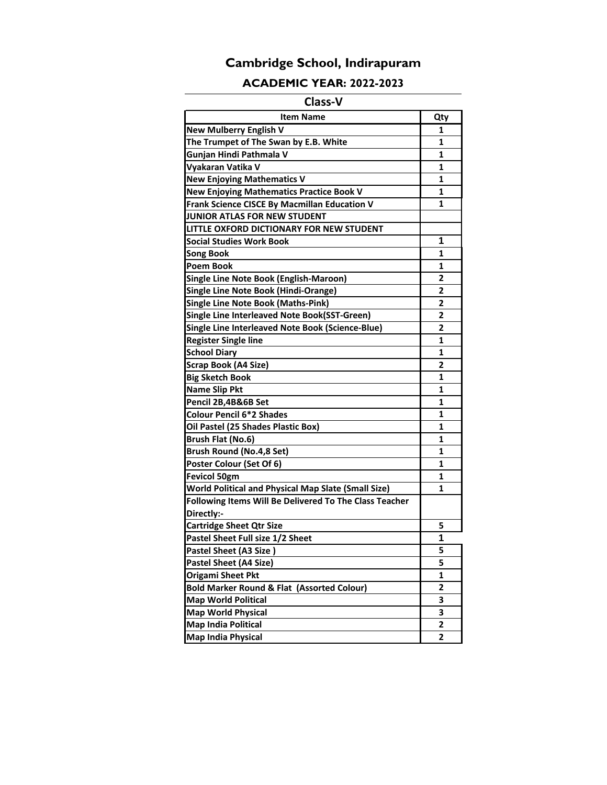### **ACADEMIC YEAR: 2022-2023**

### **Class-V**

| <b>Item Name</b>                                           | Qty            |
|------------------------------------------------------------|----------------|
| <b>New Mulberry English V</b>                              | 1              |
| The Trumpet of The Swan by E.B. White                      | 1              |
| Gunjan Hindi Pathmala V                                    | 1              |
| Vyakaran Vatika V                                          | 1              |
| <b>New Enjoying Mathematics V</b>                          | 1              |
| <b>New Enjoying Mathematics Practice Book V</b>            | 1              |
| Frank Science CISCE By Macmillan Education V               | 1              |
| JUNIOR ATLAS FOR NEW STUDENT                               |                |
| LITTLE OXFORD DICTIONARY FOR NEW STUDENT                   |                |
| Social Studies Work Book                                   | 1              |
| Song Book                                                  | 1              |
| <b>Poem Book</b>                                           | 1              |
| Single Line Note Book (English-Maroon)                     | 2              |
| <b>Single Line Note Book (Hindi-Orange)</b>                | $\overline{2}$ |
| <b>Single Line Note Book (Maths-Pink)</b>                  | 2              |
| Single Line Interleaved Note Book(SST-Green)               | 2              |
| Single Line Interleaved Note Book (Science-Blue)           | 2              |
| <b>Register Single line</b>                                | $\mathbf{1}$   |
| <b>School Diary</b>                                        | 1              |
| <b>Scrap Book (A4 Size)</b>                                | 2              |
| <b>Big Sketch Book</b>                                     | 1              |
| <b>Name Slip Pkt</b>                                       | 1              |
| Pencil 2B,4B&6B Set                                        | 1              |
| <b>Colour Pencil 6*2 Shades</b>                            | 1              |
| Oil Pastel (25 Shades Plastic Box)                         | 1              |
| Brush Flat (No.6)                                          | 1              |
| Brush Round (No.4,8 Set)                                   | 1              |
| Poster Colour (Set Of 6)                                   | 1              |
| <b>Fevicol 50gm</b>                                        | 1              |
| <b>World Political and Physical Map Slate (Small Size)</b> | 1              |
| Following Items Will Be Delivered To The Class Teacher     |                |
| Directly:-                                                 |                |
| <b>Cartridge Sheet Qtr Size</b>                            | 5              |
| Pastel Sheet Full size 1/2 Sheet                           | 1              |
| Pastel Sheet (A3 Size)                                     | 5              |
| <b>Pastel Sheet (A4 Size)</b>                              | 5              |
| Origami Sheet Pkt                                          | 1              |
| <b>Bold Marker Round &amp; Flat (Assorted Colour)</b>      | 2              |
| <b>Map World Political</b>                                 | 3              |
| <b>Map World Physical</b>                                  | 3              |
| <b>Map India Political</b>                                 | 2              |
| <b>Map India Physical</b>                                  | 2              |
|                                                            |                |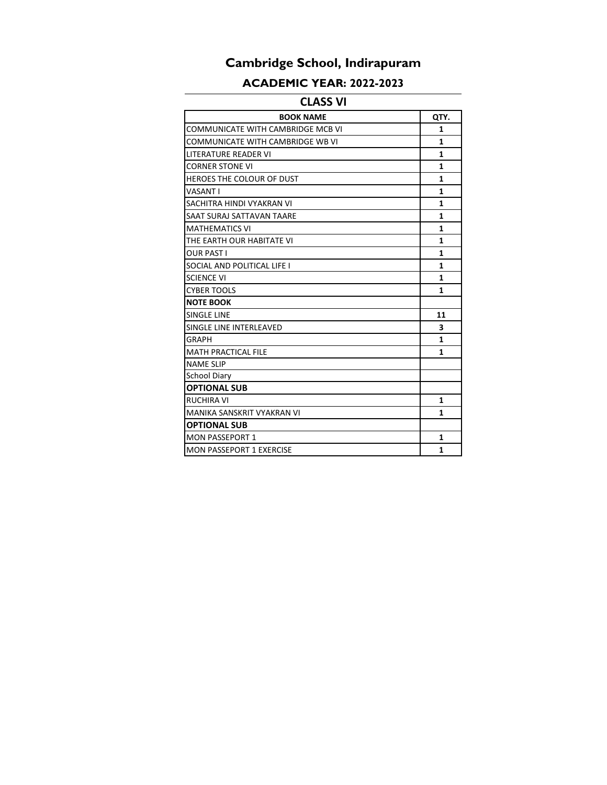### **ACADEMIC YEAR: 2022-2023**

### **CLASS VI**

| <b>BOOK NAME</b>                  | QTY.         |
|-----------------------------------|--------------|
| COMMUNICATE WITH CAMBRIDGE MCB VI | 1            |
| COMMUNICATE WITH CAMBRIDGE WB VI  | $\mathbf{1}$ |
| LITERATURE READER VI              | 1            |
| <b>CORNER STONE VI</b>            | $\mathbf{1}$ |
| HEROES THE COLOUR OF DUST         | $\mathbf{1}$ |
| <b>VASANT I</b>                   | $\mathbf{1}$ |
| SACHITRA HINDI VYAKRAN VI         | $\mathbf{1}$ |
| SAAT SURAJ SATTAVAN TAARE         | 1            |
| <b>MATHEMATICS VI</b>             | $\mathbf{1}$ |
| THE EARTH OUR HABITATE VI         | 1            |
| <b>OUR PAST I</b>                 | 1            |
| SOCIAL AND POLITICAL LIFE I       | $\mathbf{1}$ |
| <b>SCIENCE VI</b>                 | $\mathbf{1}$ |
| <b>CYBER TOOLS</b>                | 1            |
| <b>NOTE BOOK</b>                  |              |
| <b>SINGLE LINE</b>                | 11           |
| SINGLE LINE INTERLEAVED           | 3            |
| GRAPH                             | $\mathbf{1}$ |
| <b>MATH PRACTICAL FILE</b>        | 1            |
| <b>NAME SLIP</b>                  |              |
| <b>School Diary</b>               |              |
| <b>OPTIONAL SUB</b>               |              |
| <b>RUCHIRA VI</b>                 | $\mathbf{1}$ |
| <b>MANIKA SANSKRIT VYAKRAN VI</b> | $\mathbf{1}$ |
| <b>OPTIONAL SUB</b>               |              |
| <b>MON PASSEPORT 1</b>            | 1            |
| <b>MON PASSEPORT 1 EXERCISE</b>   | $\mathbf{1}$ |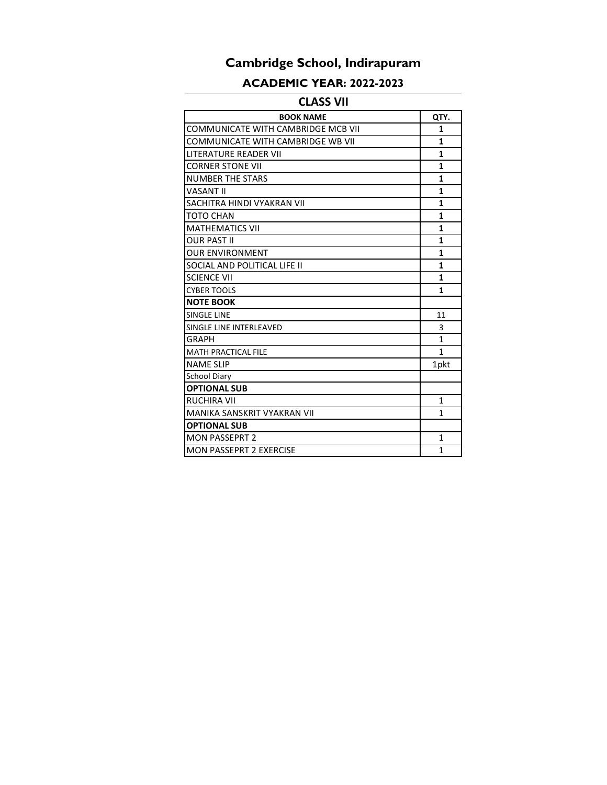### **ACADEMIC YEAR: 2022-2023**

### **CLASS VII**

| <b>BOOK NAME</b>                   | QTY.         |
|------------------------------------|--------------|
| COMMUNICATE WITH CAMBRIDGE MCB VII | $\mathbf{1}$ |
| COMMUNICATE WITH CAMBRIDGE WB VII  | $\mathbf{1}$ |
| <b>LITERATURE READER VII</b>       | $\mathbf{1}$ |
| <b>CORNER STONE VII</b>            | $\mathbf{1}$ |
| <b>NUMBER THE STARS</b>            | $\mathbf{1}$ |
| <b>VASANT II</b>                   | $\mathbf{1}$ |
| SACHITRA HINDI VYAKRAN VII         | $\mathbf{1}$ |
| <b>TOTO CHAN</b>                   | $\mathbf{1}$ |
| <b>MATHEMATICS VII</b>             | $\mathbf{1}$ |
| <b>OUR PAST II</b>                 | 1            |
| <b>OUR ENVIRONMENT</b>             | $\mathbf{1}$ |
| SOCIAL AND POLITICAL LIFE II       | $\mathbf{1}$ |
| <b>SCIENCE VII</b>                 | 1            |
| <b>CYBER TOOLS</b>                 | $\mathbf{1}$ |
| <b>NOTE BOOK</b>                   |              |
| <b>SINGLE LINE</b>                 | 11           |
| SINGLE LINE INTERLEAVED            | 3            |
| GRAPH                              | $\mathbf{1}$ |
| <b>MATH PRACTICAL FILE</b>         | 1            |
| <b>NAME SLIP</b>                   | 1pkt         |
| <b>School Diary</b>                |              |
| <b>OPTIONAL SUB</b>                |              |
| <b>RUCHIRA VII</b>                 | 1            |
| MANIKA SANSKRIT VYAKRAN VII        | 1            |
| <b>OPTIONAL SUB</b>                |              |
| <b>MON PASSEPRT 2</b>              | 1            |
| <b>MON PASSEPRT 2 EXERCISE</b>     | 1            |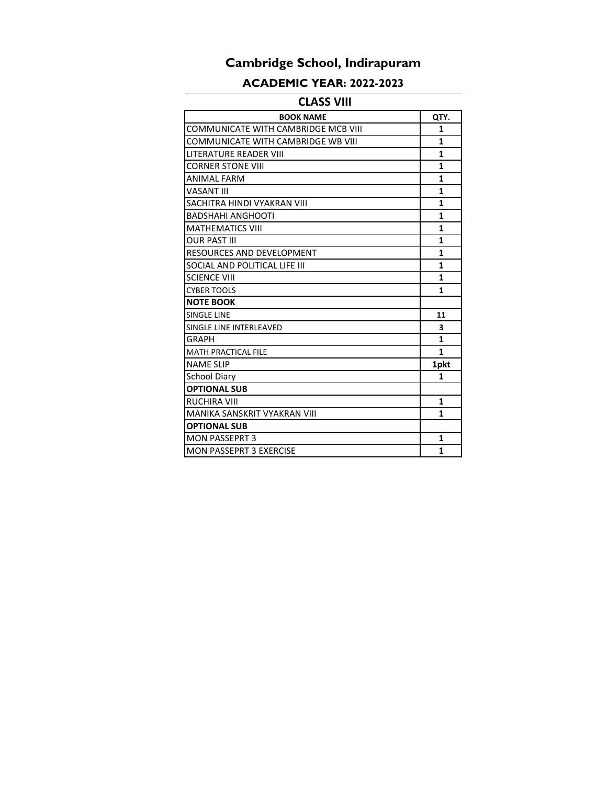### **ACADEMIC YEAR: 2022-2023**

### **CLASS VIII**

| <b>BOOK NAME</b>                    | QTY.         |
|-------------------------------------|--------------|
| COMMUNICATE WITH CAMBRIDGE MCB VIII | 1            |
| COMMUNICATE WITH CAMBRIDGE WB VIII  | $\mathbf{1}$ |
| LITERATURE READER VIII              | $\mathbf{1}$ |
| <b>CORNER STONE VIII</b>            | $\mathbf{1}$ |
| <b>ANIMAL FARM</b>                  | $\mathbf{1}$ |
| VASANT III                          | $\mathbf{1}$ |
| SACHITRA HINDI VYAKRAN VIII         | $\mathbf{1}$ |
| <b>BADSHAHI ANGHOOTI</b>            | $\mathbf{1}$ |
| <b>MATHEMATICS VIII</b>             | $\mathbf{1}$ |
| <b>OUR PAST III</b>                 | $\mathbf{1}$ |
| RESOURCES AND DEVELOPMENT           | $\mathbf{1}$ |
| SOCIAL AND POLITICAL LIFE III       | $\mathbf{1}$ |
| <b>SCIENCE VIII</b>                 | $\mathbf{1}$ |
| <b>CYBER TOOLS</b>                  | $\mathbf{1}$ |
| <b>NOTE BOOK</b>                    |              |
| <b>SINGLE LINE</b>                  | 11           |
| SINGLE LINE INTERLEAVED             | 3            |
| GRAPH                               | $\mathbf{1}$ |
| <b>MATH PRACTICAL FILE</b>          | $\mathbf{1}$ |
| <b>NAME SLIP</b>                    | 1pkt         |
| <b>School Diary</b>                 | 1            |
| <b>OPTIONAL SUB</b>                 |              |
| RUCHIRA VIII                        | $\mathbf{1}$ |
| MANIKA SANSKRIT VYAKRAN VIII        | $\mathbf{1}$ |
| <b>OPTIONAL SUB</b>                 |              |
| <b>MON PASSEPRT 3</b>               | 1            |
| <b>MON PASSEPRT 3 EXERCISE</b>      | $\mathbf{1}$ |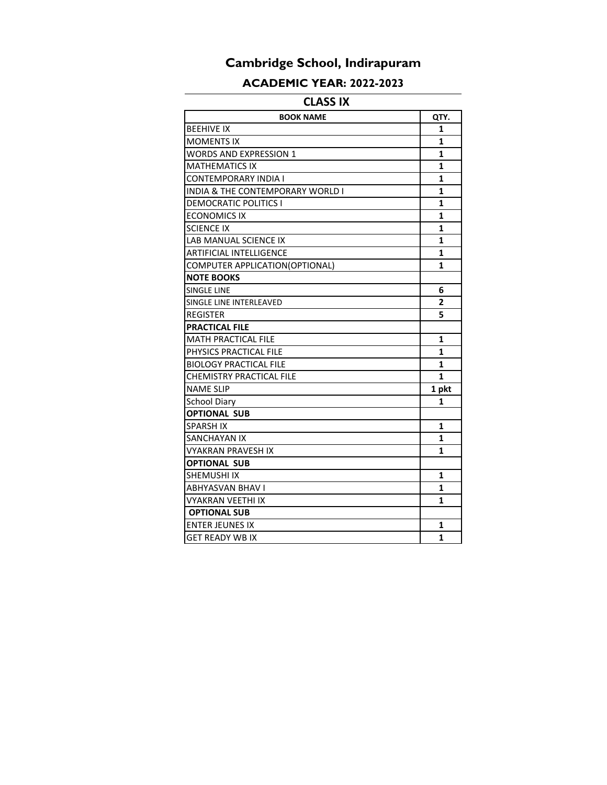### **ACADEMIC YEAR: 2022-2023**

### **CLASS IX**

| <b>BOOK NAME</b>                            | QTY.           |
|---------------------------------------------|----------------|
| <b>BEEHIVE IX</b>                           | 1              |
| <b>MOMENTS IX</b>                           | 1              |
| <b>WORDS AND EXPRESSION 1</b>               | 1              |
| <b>MATHEMATICS IX</b>                       | 1              |
| <b>CONTEMPORARY INDIA I</b>                 | 1              |
| <b>INDIA &amp; THE CONTEMPORARY WORLD I</b> | 1              |
| <b>DEMOCRATIC POLITICS I</b>                | $\mathbf{1}$   |
| <b>ECONOMICS IX</b>                         | 1              |
| <b>SCIENCE IX</b>                           | 1              |
| <b>LAB MANUAL SCIENCE IX</b>                | 1              |
| <b>ARTIFICIAL INTELLIGENCE</b>              | 1              |
| COMPUTER APPLICATION(OPTIONAL)              | 1              |
| <b>NOTE BOOKS</b>                           |                |
| <b>SINGLE LINE</b>                          | 6              |
| SINGLE LINE INTERLEAVED                     | $\overline{2}$ |
| <b>REGISTER</b>                             | 5              |
| <b>PRACTICAL FILE</b>                       |                |
| <b>MATH PRACTICAL FILE</b>                  | 1              |
| PHYSICS PRACTICAL FILE                      | 1              |
| <b>BIOLOGY PRACTICAL FILE</b>               | 1              |
| <b>CHEMISTRY PRACTICAL FILE</b>             | 1              |
| <b>NAME SLIP</b>                            | 1 pkt          |
| <b>School Diary</b>                         | 1              |
| <b>OPTIONAL SUB</b>                         |                |
| <b>SPARSH IX</b>                            | 1              |
| <b>SANCHAYAN IX</b>                         | 1              |
| <b>VYAKRAN PRAVESH IX</b>                   | 1              |
| <b>OPTIONAL SUB</b>                         |                |
| <b>SHEMUSHI IX</b>                          | 1              |
| <b>ABHYASVAN BHAV I</b>                     | 1              |
| <b>VYAKRAN VEETHI IX</b>                    | 1              |
| <b>OPTIONAL SUB</b>                         |                |
| <b>ENTER JEUNES IX</b>                      | 1              |
| <b>GET READY WB IX</b>                      | 1              |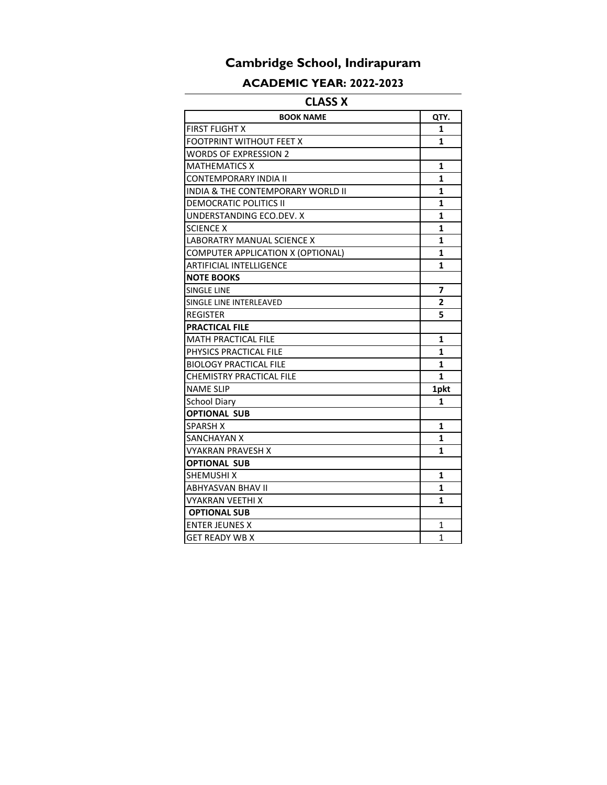### **ACADEMIC YEAR: 2022-2023**

### **CLASS X**

| <b>BOOK NAME</b>                  | QTY.           |
|-----------------------------------|----------------|
| <b>FIRST FLIGHT X</b>             | 1              |
| <b>FOOTPRINT WITHOUT FEET X</b>   | 1              |
| <b>WORDS OF EXPRESSION 2</b>      |                |
| <b>MATHEMATICS X</b>              | 1              |
| <b>CONTEMPORARY INDIA II</b>      | 1              |
| INDIA & THE CONTEMPORARY WORLD II | 1              |
| <b>DEMOCRATIC POLITICS II</b>     | 1              |
| UNDERSTANDING ECO.DEV. X          | 1              |
| <b>SCIENCE X</b>                  | 1              |
| LABORATRY MANUAL SCIENCE X        | 1              |
| COMPUTER APPLICATION X (OPTIONAL) | 1              |
| <b>ARTIFICIAL INTELLIGENCE</b>    | 1              |
| <b>NOTE BOOKS</b>                 |                |
| SINGLE LINE                       | $\overline{7}$ |
| SINGLE LINE INTERLEAVED           | $\overline{2}$ |
| <b>REGISTER</b>                   | 5              |
| <b>PRACTICAL FILE</b>             |                |
| <b>MATH PRACTICAL FILE</b>        | 1              |
| PHYSICS PRACTICAL FILE            | 1              |
| <b>BIOLOGY PRACTICAL FILE</b>     | 1              |
| CHEMISTRY PRACTICAL FILE          | $\mathbf{1}$   |
| <b>NAME SLIP</b>                  | 1pkt           |
| <b>School Diarv</b>               | 1              |
| <b>OPTIONAL SUB</b>               |                |
| <b>SPARSH X</b>                   | $\mathbf{1}$   |
| <b>SANCHAYAN X</b>                | 1              |
| <b>VYAKRAN PRAVESH X</b>          | 1              |
| <b>OPTIONAL SUB</b>               |                |
| <b>SHEMUSHI X</b>                 | 1              |
| <b>ABHYASVAN BHAV II</b>          | 1              |
| VYAKRAN VEETHI X                  | 1              |
| <b>OPTIONAL SUB</b>               |                |
| <b>ENTER JEUNES X</b>             | $\mathbf{1}$   |
| <b>GET READY WB X</b>             | $\mathbf{1}$   |